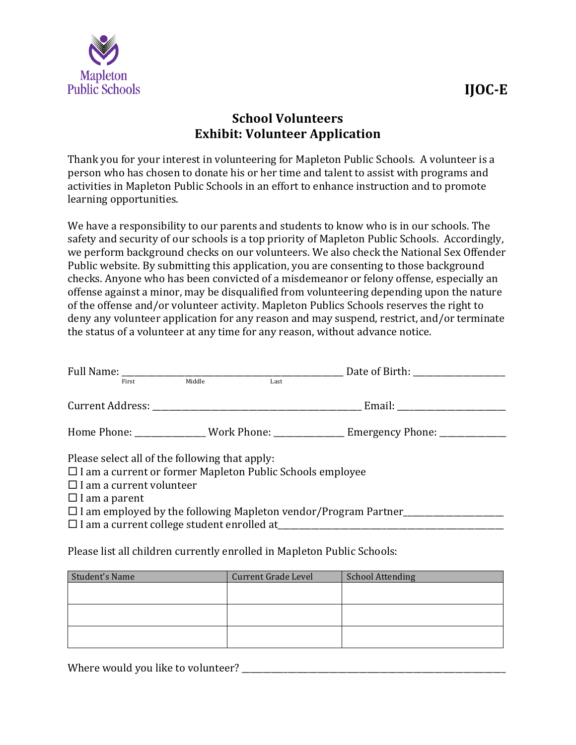

## **School Volunteers Exhibit: Volunteer Application**

Thank you for your interest in volunteering for Mapleton Public Schools. A volunteer is a person who has chosen to donate his or her time and talent to assist with programs and activities in Mapleton Public Schools in an effort to enhance instruction and to promote learning opportunities.

We have a responsibility to our parents and students to know who is in our schools. The safety and security of our schools is a top priority of Mapleton Public Schools. Accordingly, we perform background checks on our volunteers. We also check the National Sex Offender Public website. By submitting this application, you are consenting to those background checks. Anyone who has been convicted of a misdemeanor or felony offense, especially an offense against a minor, may be disqualified from volunteering depending upon the nature of the offense and/or volunteer activity. Mapleton Publics Schools reserves the right to deny any volunteer application for any reason and may suspend, restrict, and/or terminate the status of a volunteer at any time for any reason, without advance notice.

| First                                                                                                                                                                         | Middle | Last |                                                                                         |  |  |
|-------------------------------------------------------------------------------------------------------------------------------------------------------------------------------|--------|------|-----------------------------------------------------------------------------------------|--|--|
|                                                                                                                                                                               |        |      |                                                                                         |  |  |
|                                                                                                                                                                               |        |      | Home Phone: ________________ Work Phone: _______________ Emergency Phone: _____________ |  |  |
| Please select all of the following that apply:<br>$\Box$ I am a current or former Mapleton Public Schools employee<br>$\Box$ I am a current volunteer<br>$\Box$ I am a parent |        |      |                                                                                         |  |  |
|                                                                                                                                                                               |        |      | $\Box$ I am employed by the following Mapleton vendor/Program Partner                   |  |  |

Please list all children currently enrolled in Mapleton Public Schools:

| Student's Name | <b>Current Grade Level</b> | <b>School Attending</b> |  |  |
|----------------|----------------------------|-------------------------|--|--|
|                |                            |                         |  |  |
|                |                            |                         |  |  |
|                |                            |                         |  |  |
|                |                            |                         |  |  |
|                |                            |                         |  |  |
|                |                            |                         |  |  |

Where would you like to volunteer?